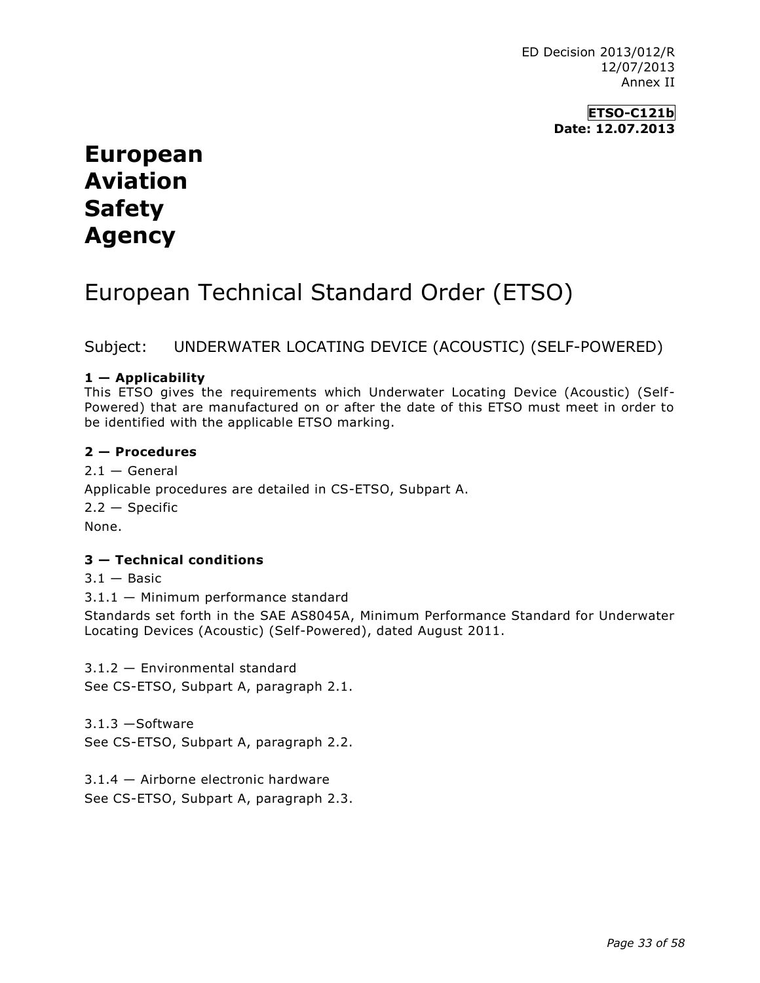ED Decision 2013/012/R 12/07/2013 Annex II

> **ETSO-C121b Date: 12.07.2013**

# **European Aviation Safety Agency**

# European Technical Standard Order (ETSO)

# Subject: UNDERWATER LOCATING DEVICE (ACOUSTIC) (SELF-POWERED)

### **1 — Applicability**

This ETSO gives the requirements which Underwater Locating Device (Acoustic) (Self-Powered) that are manufactured on or after the date of this ETSO must meet in order to be identified with the applicable ETSO marking.

#### **2 — Procedures**

 $2.1 -$  General Applicable procedures are detailed in CS-ETSO, Subpart A.  $2.2 -$ Specific None.

## **3 — Technical conditions**

 $3.1 -$ Basic

3.1.1 — Minimum performance standard

Standards set forth in the SAE AS8045A, Minimum Performance Standard for Underwater Locating Devices (Acoustic) (Self-Powered), dated August 2011.

3.1.2 — Environmental standard

See CS-ETSO, Subpart A, paragraph 2.1.

3.1.3 —Software See CS-ETSO, Subpart A, paragraph 2.2.

3.1.4 — Airborne electronic hardware See CS-ETSO, Subpart A, paragraph 2.3.